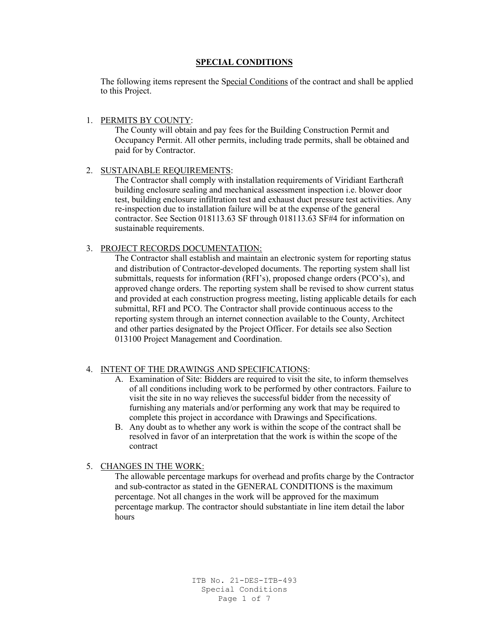## **SPECIAL CONDITIONS**

The following items represent the Special Conditions of the contract and shall be applied to this Project.

## 1. PERMITS BY COUNTY:

The County will obtain and pay fees for the Building Construction Permit and Occupancy Permit. All other permits, including trade permits, shall be obtained and paid for by Contractor.

## 2. SUSTAINABLE REQUIREMENTS:

The Contractor shall comply with installation requirements of Viridiant Earthcraft building enclosure sealing and mechanical assessment inspection i.e. blower door test, building enclosure infiltration test and exhaust duct pressure test activities. Any re-inspection due to installation failure will be at the expense of the general contractor. See Section 018113.63 SF through 018113.63 SF#4 for information on sustainable requirements.

## 3. PROJECT RECORDS DOCUMENTATION:

The Contractor shall establish and maintain an electronic system for reporting status and distribution of Contractor-developed documents. The reporting system shall list submittals, requests for information (RFI's), proposed change orders (PCO's), and approved change orders. The reporting system shall be revised to show current status and provided at each construction progress meeting, listing applicable details for each submittal, RFI and PCO. The Contractor shall provide continuous access to the reporting system through an internet connection available to the County, Architect and other parties designated by the Project Officer. For details see also Section 013100 Project Management and Coordination.

## 4. INTENT OF THE DRAWINGS AND SPECIFICATIONS:

- A. Examination of Site: Bidders are required to visit the site, to inform themselves of all conditions including work to be performed by other contractors. Failure to visit the site in no way relieves the successful bidder from the necessity of furnishing any materials and/or performing any work that may be required to complete this project in accordance with Drawings and Specifications.
- B. Any doubt as to whether any work is within the scope of the contract shall be resolved in favor of an interpretation that the work is within the scope of the contract

## 5. CHANGES IN THE WORK:

The allowable percentage markups for overhead and profits charge by the Contractor and sub-contractor as stated in the GENERAL CONDITIONS is the maximum percentage. Not all changes in the work will be approved for the maximum percentage markup. The contractor should substantiate in line item detail the labor hours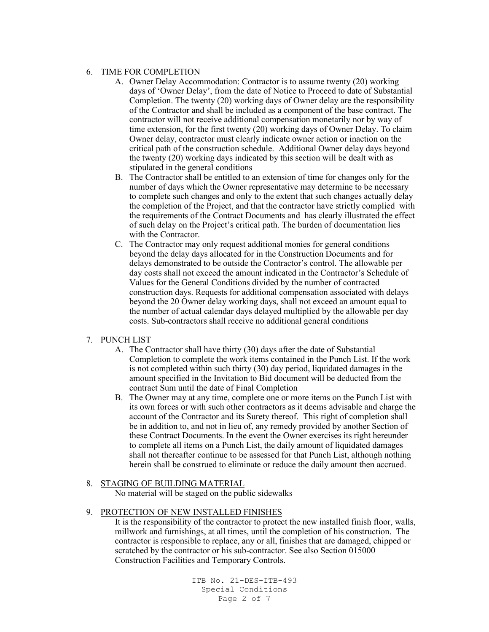## 6. TIME FOR COMPLETION

- A. Owner Delay Accommodation: Contractor is to assume twenty (20) working days of 'Owner Delay', from the date of Notice to Proceed to date of Substantial Completion. The twenty (20) working days of Owner delay are the responsibility of the Contractor and shall be included as a component of the base contract. The contractor will not receive additional compensation monetarily nor by way of time extension, for the first twenty (20) working days of Owner Delay. To claim Owner delay, contractor must clearly indicate owner action or inaction on the critical path of the construction schedule. Additional Owner delay days beyond the twenty (20) working days indicated by this section will be dealt with as stipulated in the general conditions
- B. The Contractor shall be entitled to an extension of time for changes only for the number of days which the Owner representative may determine to be necessary to complete such changes and only to the extent that such changes actually delay the completion of the Project, and that the contractor have strictly complied with the requirements of the Contract Documents and has clearly illustrated the effect of such delay on the Project's critical path. The burden of documentation lies with the Contractor.
- C. The Contractor may only request additional monies for general conditions beyond the delay days allocated for in the Construction Documents and for delays demonstrated to be outside the Contractor's control. The allowable per day costs shall not exceed the amount indicated in the Contractor's Schedule of Values for the General Conditions divided by the number of contracted construction days. Requests for additional compensation associated with delays beyond the 20 Owner delay working days, shall not exceed an amount equal to the number of actual calendar days delayed multiplied by the allowable per day costs. Sub-contractors shall receive no additional general conditions

## 7. PUNCH LIST

- A. The Contractor shall have thirty (30) days after the date of Substantial Completion to complete the work items contained in the Punch List. If the work is not completed within such thirty (30) day period, liquidated damages in the amount specified in the Invitation to Bid document will be deducted from the contract Sum until the date of Final Completion
- B. The Owner may at any time, complete one or more items on the Punch List with its own forces or with such other contractors as it deems advisable and charge the account of the Contractor and its Surety thereof. This right of completion shall be in addition to, and not in lieu of, any remedy provided by another Section of these Contract Documents. In the event the Owner exercises its right hereunder to complete all items on a Punch List, the daily amount of liquidated damages shall not thereafter continue to be assessed for that Punch List, although nothing herein shall be construed to eliminate or reduce the daily amount then accrued.

#### 8. STAGING OF BUILDING MATERIAL

No material will be staged on the public sidewalks

#### 9. PROTECTION OF NEW INSTALLED FINISHES

It is the responsibility of the contractor to protect the new installed finish floor, walls, millwork and furnishings, at all times, until the completion of his construction. The contractor is responsible to replace, any or all, finishes that are damaged, chipped or scratched by the contractor or his sub-contractor. See also Section 015000 Construction Facilities and Temporary Controls.

> ITB No. 21-DES-ITB-493 Special Conditions Page 2 of 7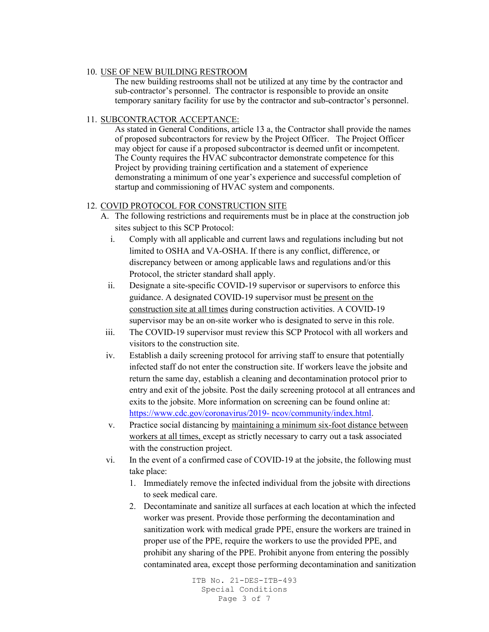#### 10. USE OF NEW BUILDING RESTROOM

The new building restrooms shall not be utilized at any time by the contractor and sub-contractor's personnel. The contractor is responsible to provide an onsite temporary sanitary facility for use by the contractor and sub-contractor's personnel.

## 11. SUBCONTRACTOR ACCEPTANCE:

As stated in General Conditions, article 13 a, the Contractor shall provide the names of proposed subcontractors for review by the Project Officer. The Project Officer may object for cause if a proposed subcontractor is deemed unfit or incompetent. The County requires the HVAC subcontractor demonstrate competence for this Project by providing training certification and a statement of experience demonstrating a minimum of one year's experience and successful completion of startup and commissioning of HVAC system and components.

## 12. COVID PROTOCOL FOR CONSTRUCTION SITE

- A. The following restrictions and requirements must be in place at the construction job sites subject to this SCP Protocol:
	- i. Comply with all applicable and current laws and regulations including but not limited to OSHA and VA-OSHA. If there is any conflict, difference, or discrepancy between or among applicable laws and regulations and/or this Protocol, the stricter standard shall apply.
	- ii. Designate a site-specific COVID-19 supervisor or supervisors to enforce this guidance. A designated COVID-19 supervisor must be present on the construction site at all times during construction activities. A COVID-19 supervisor may be an on-site worker who is designated to serve in this role.
- iii. The COVID-19 supervisor must review this SCP Protocol with all workers and visitors to the construction site.
- iv. Establish a daily screening protocol for arriving staff to ensure that potentially infected staff do not enter the construction site. If workers leave the jobsite and return the same day, establish a cleaning and decontamination protocol prior to entry and exit of the jobsite. Post the daily screening protocol at all entrances and exits to the jobsite. More information on screening can be found online at: [https://www.cdc.gov/coronavirus/2019-](https://www.cdc.gov/coronavirus/2019-%20ncov/community/index.html) ncov/community/index.html.
- v. Practice social distancing by maintaining a minimum six-foot distance between workers at all times, except as strictly necessary to carry out a task associated with the construction project.
- vi. In the event of a confirmed case of COVID-19 at the jobsite, the following must take place:
	- 1. Immediately remove the infected individual from the jobsite with directions to seek medical care.
	- 2. Decontaminate and sanitize all surfaces at each location at which the infected worker was present. Provide those performing the decontamination and sanitization work with medical grade PPE, ensure the workers are trained in proper use of the PPE, require the workers to use the provided PPE, and prohibit any sharing of the PPE. Prohibit anyone from entering the possibly contaminated area, except those performing decontamination and sanitization

ITB No. 21-DES-ITB-493 Special Conditions Page 3 of 7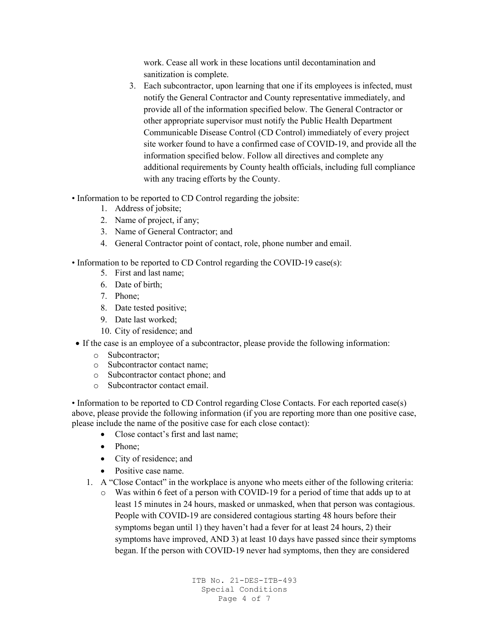work. Cease all work in these locations until decontamination and sanitization is complete.

- 3. Each subcontractor, upon learning that one if its employees is infected, must notify the General Contractor and County representative immediately, and provide all of the information specified below. The General Contractor or other appropriate supervisor must notify the Public Health Department Communicable Disease Control (CD Control) immediately of every project site worker found to have a confirmed case of COVID-19, and provide all the information specified below. Follow all directives and complete any additional requirements by County health officials, including full compliance with any tracing efforts by the County.
- Information to be reported to CD Control regarding the jobsite:
	- 1. Address of jobsite;
	- 2. Name of project, if any;
	- 3. Name of General Contractor; and
	- 4. General Contractor point of contact, role, phone number and email.
- Information to be reported to CD Control regarding the COVID-19 case(s):
	- 5. First and last name;
	- 6. Date of birth;
	- 7. Phone;
	- 8. Date tested positive;
	- 9. Date last worked;
	- 10. City of residence; and
- If the case is an employee of a subcontractor, please provide the following information:
	- o Subcontractor;
	- o Subcontractor contact name;
	- o Subcontractor contact phone; and
	- o Subcontractor contact email.

• Information to be reported to CD Control regarding Close Contacts. For each reported case(s) above, please provide the following information (if you are reporting more than one positive case, please include the name of the positive case for each close contact):

- Close contact's first and last name:
- Phone;
- City of residence; and
- Positive case name.
- 1. A "Close Contact" in the workplace is anyone who meets either of the following criteria:
	- o Was within 6 feet of a person with COVID-19 for a period of time that adds up to at least 15 minutes in 24 hours, masked or unmasked, when that person was contagious. People with COVID-19 are considered contagious starting 48 hours before their symptoms began until 1) they haven't had a fever for at least 24 hours, 2) their symptoms have improved, AND 3) at least 10 days have passed since their symptoms began. If the person with COVID-19 never had symptoms, then they are considered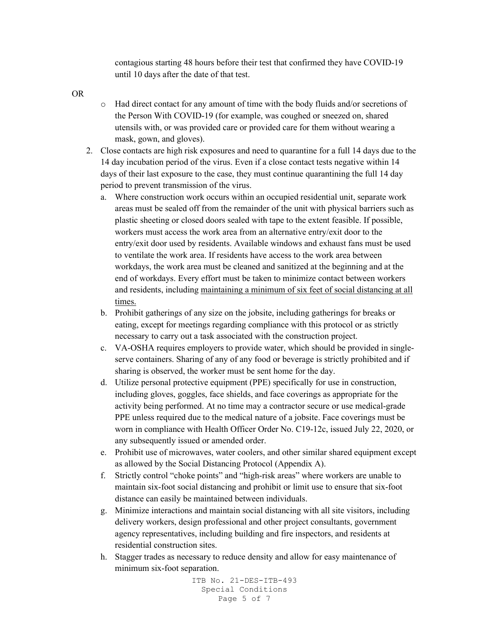contagious starting 48 hours before their test that confirmed they have COVID-19 until 10 days after the date of that test.

OR

- o Had direct contact for any amount of time with the body fluids and/or secretions of the Person With COVID-19 (for example, was coughed or sneezed on, shared utensils with, or was provided care or provided care for them without wearing a mask, gown, and gloves).
- 2. Close contacts are high risk exposures and need to quarantine for a full 14 days due to the 14 day incubation period of the virus. Even if a close contact tests negative within 14 days of their last exposure to the case, they must continue quarantining the full 14 day period to prevent transmission of the virus.
	- a. Where construction work occurs within an occupied residential unit, separate work areas must be sealed off from the remainder of the unit with physical barriers such as plastic sheeting or closed doors sealed with tape to the extent feasible. If possible, workers must access the work area from an alternative entry/exit door to the entry/exit door used by residents. Available windows and exhaust fans must be used to ventilate the work area. If residents have access to the work area between workdays, the work area must be cleaned and sanitized at the beginning and at the end of workdays. Every effort must be taken to minimize contact between workers and residents, including maintaining a minimum of six feet of social distancing at all times.
	- b. Prohibit gatherings of any size on the jobsite, including gatherings for breaks or eating, except for meetings regarding compliance with this protocol or as strictly necessary to carry out a task associated with the construction project.
	- c. VA-OSHA requires employers to provide water, which should be provided in singleserve containers. Sharing of any of any food or beverage is strictly prohibited and if sharing is observed, the worker must be sent home for the day.
	- d. Utilize personal protective equipment (PPE) specifically for use in construction, including gloves, goggles, face shields, and face coverings as appropriate for the activity being performed. At no time may a contractor secure or use medical-grade PPE unless required due to the medical nature of a jobsite. Face coverings must be worn in compliance with Health Officer Order No. C19-12c, issued July 22, 2020, or any subsequently issued or amended order.
	- e. Prohibit use of microwaves, water coolers, and other similar shared equipment except as allowed by the Social Distancing Protocol (Appendix A).
	- f. Strictly control "choke points" and "high-risk areas" where workers are unable to maintain six-foot social distancing and prohibit or limit use to ensure that six-foot distance can easily be maintained between individuals.
	- g. Minimize interactions and maintain social distancing with all site visitors, including delivery workers, design professional and other project consultants, government agency representatives, including building and fire inspectors, and residents at residential construction sites.
	- h. Stagger trades as necessary to reduce density and allow for easy maintenance of minimum six-foot separation.

```
ITB No. 21-DES-ITB-493
Special Conditions
   Page 5 of 7
```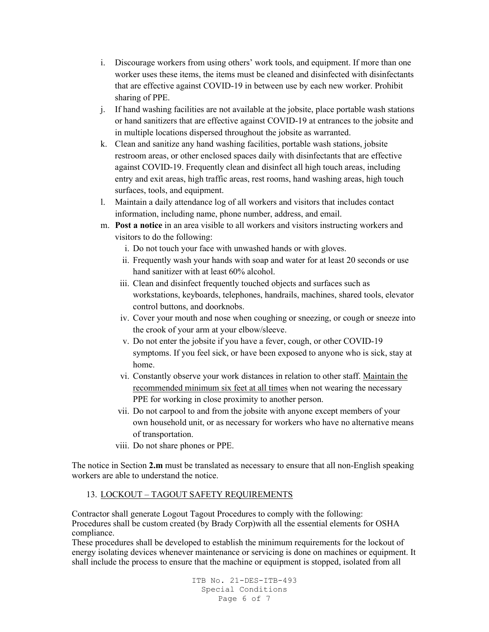- i. Discourage workers from using others' work tools, and equipment. If more than one worker uses these items, the items must be cleaned and disinfected with disinfectants that are effective against COVID-19 in between use by each new worker. Prohibit sharing of PPE.
- j. If hand washing facilities are not available at the jobsite, place portable wash stations or hand sanitizers that are effective against COVID-19 at entrances to the jobsite and in multiple locations dispersed throughout the jobsite as warranted.
- k. Clean and sanitize any hand washing facilities, portable wash stations, jobsite restroom areas, or other enclosed spaces daily with disinfectants that are effective against COVID-19. Frequently clean and disinfect all high touch areas, including entry and exit areas, high traffic areas, rest rooms, hand washing areas, high touch surfaces, tools, and equipment.
- l. Maintain a daily attendance log of all workers and visitors that includes contact information, including name, phone number, address, and email.
- m. **Post a notice** in an area visible to all workers and visitors instructing workers and visitors to do the following:
	- i. Do not touch your face with unwashed hands or with gloves.
	- ii. Frequently wash your hands with soap and water for at least 20 seconds or use hand sanitizer with at least 60% alcohol.
	- iii. Clean and disinfect frequently touched objects and surfaces such as workstations, keyboards, telephones, handrails, machines, shared tools, elevator control buttons, and doorknobs.
	- iv. Cover your mouth and nose when coughing or sneezing, or cough or sneeze into the crook of your arm at your elbow/sleeve.
	- v. Do not enter the jobsite if you have a fever, cough, or other COVID-19 symptoms. If you feel sick, or have been exposed to anyone who is sick, stay at home.
	- vi. Constantly observe your work distances in relation to other staff. Maintain the recommended minimum six feet at all times when not wearing the necessary PPE for working in close proximity to another person.
	- vii. Do not carpool to and from the jobsite with anyone except members of your own household unit, or as necessary for workers who have no alternative means of transportation.
	- viii. Do not share phones or PPE.

The notice in Section **2.m** must be translated as necessary to ensure that all non-English speaking workers are able to understand the notice.

# 13. LOCKOUT – TAGOUT SAFETY REQUIREMENTS

Contractor shall generate Logout Tagout Procedures to comply with the following: Procedures shall be custom created (by Brady Corp)with all the essential elements for OSHA compliance.

These procedures shall be developed to establish the minimum requirements for the lockout of energy isolating devices whenever maintenance or servicing is done on machines or equipment. It shall include the process to ensure that the machine or equipment is stopped, isolated from all

> ITB No. 21-DES-ITB-493 Special Conditions Page 6 of 7